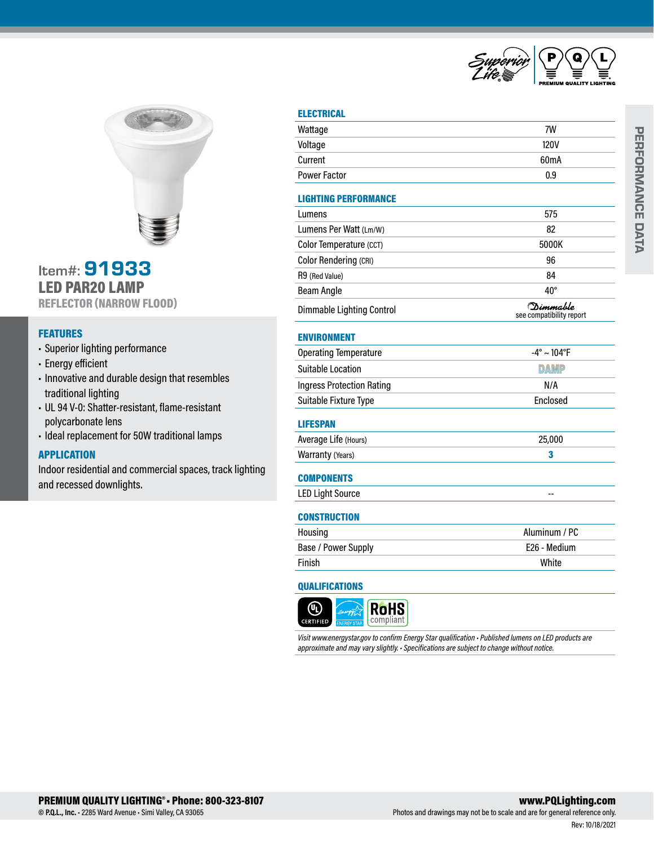



## Item#: 91933 LED PAR20 LAMP REFLECTOR (NARROW FLOOD)

## FEATURES

- Superior lighting performance
- Energy efficient
- Innovative and durable design that resembles traditional lighting
- UL 94 V-0: Shatter-resistant, flame-resistant polycarbonate lens
- Ideal replacement for 50W traditional lamps

## **APPLICATION**

Indoor residential and commercial spaces, track lighting and recessed downlights.

### **ELECTRICAL**

| Wattage                          | 7W                                    |  |
|----------------------------------|---------------------------------------|--|
| Voltage                          | <b>120V</b>                           |  |
| Current                          | 60 <sub>m</sub> A                     |  |
| <b>Power Factor</b>              | 0.9                                   |  |
| <b>LIGHTING PERFORMANCE</b>      |                                       |  |
| Lumens                           | 575                                   |  |
| Lumens Per Watt (Lm/W)           | 82                                    |  |
| Color Temperature (CCT)          | 5000K                                 |  |
| Color Rendering (CRI)            | 96                                    |  |
| R9 (Red Value)                   | 84                                    |  |
| <b>Beam Angle</b>                | $40^{\circ}$                          |  |
| <b>Dimmable Lighting Control</b> | (Dimmable<br>see compatibility report |  |
| <b>ENVIRONMENT</b>               |                                       |  |
| <b>Operating Temperature</b>     | $-4^{\circ} \sim 104^{\circ}F$        |  |
| <b>Suitable Location</b>         | <b>DAMP</b>                           |  |
| <b>Ingress Protection Rating</b> | N/A                                   |  |
| Suitable Fixture Type            | Enclosed                              |  |
| <b>LIFESPAN</b>                  |                                       |  |
| Average Life (Hours)             | 25,000                                |  |
| Warranty (Years)                 | 3                                     |  |
| <b>COMPONENTS</b>                |                                       |  |
| <b>LED Light Source</b>          |                                       |  |
| <b>CONSTRUCTION</b>              |                                       |  |
| Housing                          | Aluminum / PC                         |  |
| Base / Power Supply              | E26 - Medium                          |  |
| Finish                           | White                                 |  |

#### QUALIFICATIONS



*Visit www.energystar.gov to confirm Energy Star qualification • Published lumens on LED products are approximate and may vary slightly. • Specifications are subject to change without notice.*